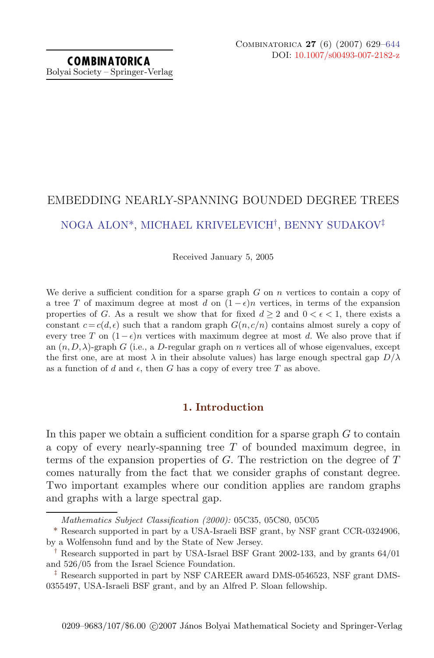# EMBEDDING NEARLY-SPANNING BOUNDED DEGREE TREES NOGA ALON\*, MICHAEL KRIVELEVICH†, BENNY SUDAKOV‡

Received January 5, 2005

We derive a sufficient condition for a sparse graph  $G$  on  $n$  vertices to contain a copy of a tree T of maximum degree at most d on  $(1 - \epsilon)n$  vertices, in terms of the expansion properties of G. As a result we show that for fixed  $d \geq 2$  and  $0 < \epsilon < 1$ , there exists a constant  $c = c(d, \epsilon)$  such that a random graph  $G(n, c/n)$  contains almost surely a copy of every tree T on  $(1 - \epsilon)n$  vertices with maximum degree at most d. We also prove that if an  $(n, D, \lambda)$ -graph G (i.e., a D-regular graph on n vertices all of whose eigenvalues, except the first one, are at most  $\lambda$  in their absolute values) has large enough spectral gap  $D/\lambda$ as a function of d and  $\epsilon$ , then G has a copy of every tree T as above.

# **1. Introduction**

In this paper we obtain a sufficient condition for a sparse graph  $G$  to contain a copy of every nearly-spanning tree  $T$  of bounded maximum degree, in terms of the expansion properties of  $G$ . The restriction on the degree of  $T$ comes naturally from the fact that we consider graphs of constant degree. Two important examples where our condition applies are random graphs and graphs with a large spectral gap.

Mathematics Subject Classification (2000): 05C35, 05C80, 05C05

<sup>\*</sup> Research supported in part by a USA-Israeli BSF grant, by NSF grant CCR-0324906, by a Wolfensohn fund and by the State of New Jersey.

<sup>†</sup> Research supported in part by USA-Israel BSF Grant 2002-133, and by grants 64/01 and 526/05 from the Israel Science Foundation.

<sup>‡</sup> Research supported in part by NSF CAREER award DMS-0546523, NSF grant DMS-0355497, USA-Israeli BSF grant, and by an Alfred P. Sloan fellowship.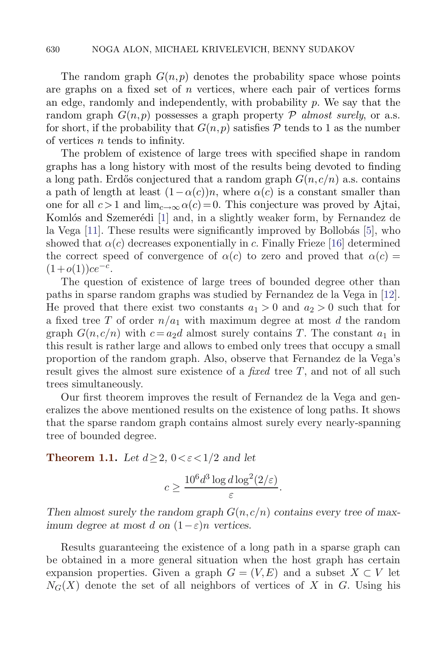The random graph  $G(n, p)$  denotes the probability space whose points are graphs on a fixed set of  $n$  vertices, where each pair of vertices forms an edge, randomly and independently, with probability  $p$ . We say that the random graph  $G(n, p)$  possesses a graph property  $\mathcal P$  almost surely, or a.s. for short, if the probability that  $G(n, p)$  satisfies P tends to 1 as the number of vertices n tends to infinity.

The problem of existence of large trees with specified shape in random graphs has a long history with most of the results being devoted to finding a long path. Erdős conjectured that a random graph  $G(n, c/n)$  a.s. contains a path of length at least  $(1-\alpha(c))n$ , where  $\alpha(c)$  is a constant smaller than one for all  $c > 1$  and  $\lim_{c \to \infty} \alpha(c) = 0$ . This conjecture was proved by Ajtai, Komlós and Szemerédi [1] and, in a slightly weaker form, by Fernandez de la Vega  $[11]$ . These results were significantly improved by Bollobás  $[5]$ , who showed that  $\alpha(c)$  decreases exponentially in c. Finally Frieze [16] determined the correct speed of convergence of  $\alpha(c)$  to zero and proved that  $\alpha(c)$  =  $(1+o(1))ce^{-c}$ .

The question of existence of large trees of bounded degree other than paths in sparse random graphs was studied by Fernandez de la Vega in [12]. He proved that there exist two constants  $a_1 > 0$  and  $a_2 > 0$  such that for a fixed tree T of order  $n/a_1$  with maximum degree at most d the random graph  $G(n, c/n)$  with  $c = a_2d$  almost surely contains T. The constant  $a_1$  in this result is rather large and allows to embed only trees that occupy a small proportion of the random graph. Also, observe that Fernandez de la Vega's result gives the almost sure existence of a *fixed* tree  $T$ , and not of all such trees simultaneously.

Our first theorem improves the result of Fernandez de la Vega and generalizes the above mentioned results on the existence of long paths. It shows that the sparse random graph contains almost surely every nearly-spanning tree of bounded degree.

**Theorem 1.1.** Let  $d \geq 2$ ,  $0 < \varepsilon < 1/2$  and let

$$
c \ge \frac{10^6 d^3 \log d \log^2(2/\varepsilon)}{\varepsilon}.
$$

Then almost surely the random graph  $G(n, c/n)$  contains every tree of max*imum degree at most d on*  $(1 - \varepsilon)n$  *vertices.* 

Results guaranteeing the existence of a long path in a sparse graph can be obtained in a more general situation when the host graph has certain expansion properties. Given a graph  $G = (V, E)$  and a subset  $X \subset V$  let  $N_G(X)$  denote the set of all neighbors of vertices of X in G. Using his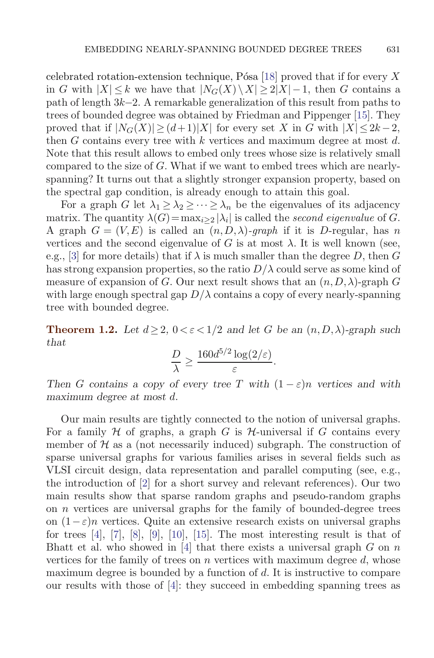celebrated rotation-extension technique, Pósa [18] proved that if for every X in G with  $|X| \leq k$  we have that  $|N_G(X) \setminus X| \geq 2|X|-1$ , then G contains a path of length 3k−2. A remarkable generalization of this result from paths to trees of bounded degree was obtained by Friedman and Pippenger [15]. They proved that if  $|N_G(X)| \geq (d+1)|X|$  for every set X in G with  $|X| \leq 2k-2$ , then  $G$  contains every tree with  $k$  vertices and maximum degree at most  $d$ . Note that this result allows to embed only trees whose size is relatively small compared to the size of G. What if we want to embed trees which are nearlyspanning? It turns out that a slightly stronger expansion property, based on the spectral gap condition, is already enough to attain this goal.

For a graph G let  $\lambda_1 \geq \lambda_2 \geq \cdots \geq \lambda_n$  be the eigenvalues of its adjacency matrix. The quantity  $\lambda(G) = \max_{i \geq 2} |\lambda_i|$  is called the second eigenvalue of G. A graph  $G = (V, E)$  is called an  $(n, D, \lambda)$ -graph if it is D-regular, has n vertices and the second eigenvalue of G is at most  $\lambda$ . It is well known (see, e.g., [3] for more details) that if  $\lambda$  is much smaller than the degree D, then G has strong expansion properties, so the ratio  $D/\lambda$  could serve as some kind of measure of expansion of G. Our next result shows that an  $(n, D, \lambda)$ -graph G with large enough spectral gap  $D/\lambda$  contains a copy of every nearly-spanning tree with bounded degree.

**Theorem 1.2.** Let  $d \geq 2$ ,  $0 \lt \epsilon \lt 1/2$  and let G be an  $(n, D, \lambda)$ -graph such *that*

$$
\frac{D}{\lambda} \ge \frac{160d^{5/2}\log(2/\varepsilon)}{\varepsilon}.
$$

*Then* G contains a copy of every tree T with  $(1 - \varepsilon)n$  vertices and with *maximum degree at most* d*.*

Our main results are tightly connected to the notion of universal graphs. For a family  $H$  of graphs, a graph G is  $H$ -universal if G contains every member of  $H$  as a (not necessarily induced) subgraph. The construction of sparse universal graphs for various families arises in several fields such as VLSI circuit design, data representation and parallel computing (see, e.g., the introduction of [2] for a short survey and relevant references). Our two main results show that sparse random graphs and pseudo-random graphs on  $n$  vertices are universal graphs for the family of bounded-degree trees on  $(1-\varepsilon)n$  vertices. Quite an extensive research exists on universal graphs for trees  $[4]$ ,  $[7]$ ,  $[8]$ ,  $[9]$ ,  $[10]$ ,  $[15]$ . The most interesting result is that of Bhatt et al. who showed in [4] that there exists a universal graph  $G$  on  $n$ vertices for the family of trees on  $n$  vertices with maximum degree  $d$ , whose maximum degree is bounded by a function of d. It is instructive to compare our results with those of [4]: they succeed in embedding spanning trees as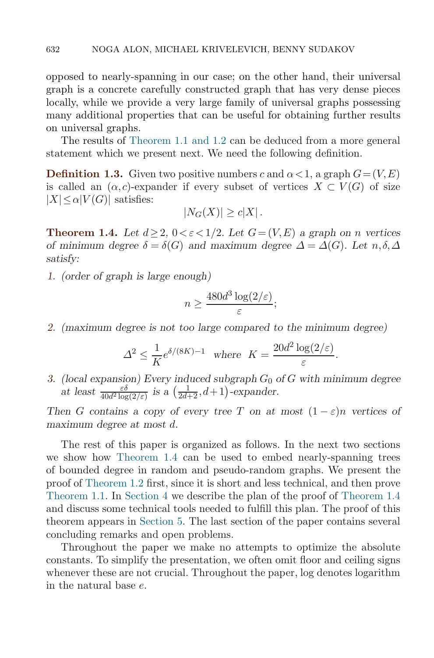opposed to nearly-spanning in our case; on the other hand, their universal graph is a concrete carefully constructed graph that has very dense pieces locally, while we provide a very large family of universal graphs possessing many additional properties that can be useful for obtaining further results on universal graphs.

The results of Theorem 1.1 and 1.2 can be deduced from a more general statement which we present next. We need the following definition.

**Definition 1.3.** Given two positive numbers c and  $\alpha < 1$ , a graph  $G = (V, E)$ is called an  $(\alpha, c)$ -expander if every subset of vertices  $X \subset V(G)$  of size  $|X| \leq \alpha |V(G)|$  satisfies:

$$
|N_G(X)| \ge c|X|.
$$

**Theorem 1.4.** Let  $d \geq 2$ ,  $0 \lt \epsilon \lt 1/2$ . Let  $G = (V, E)$  a graph on *n* vertices *of minimum degree*  $\delta = \delta(G)$  *and maximum degree*  $\Delta = \Delta(G)$ *. Let*  $n, \delta, \Delta$ *satisfy:*

*1. (order of graph is large enough)*

$$
n \ge \frac{480d^3\log(2/\varepsilon)}{\varepsilon};
$$

*2. (maximum degree is not too large compared to the minimum degree)*

$$
\Delta^2 \le \frac{1}{K} e^{\delta/(8K) - 1} \quad \text{where} \quad K = \frac{20d^2 \log(2/\varepsilon)}{\varepsilon}.
$$

*3.* (local expansion) Every induced subgraph  $G_0$  of  $G$  with minimum degree at least  $\frac{\varepsilon \delta}{40d^2 \log(2/\varepsilon)}$  is a  $\left(\frac{1}{2d+2}, d+1\right)$ -expander.

*Then* G contains a copy of every tree T on at most  $(1 - \varepsilon)n$  vertices of *maximum degree at most* d*.*

The rest of this paper is organized as follows. In the next two sections we show how Theorem 1.4 can be used to embed nearly-spanning trees of bounded degree in random and pseudo-random graphs. We present the proof of Theorem 1.2 first, since it is short and less technical, and then prove Theorem 1.1. In Section 4 we describe the plan of the proof of Theorem 1.4 and discuss some technical tools needed to fulfill this plan. The proof of this theorem appears in Section 5. The last section of the paper contains several concluding remarks and open problems.

Throughout the paper we make no attempts to optimize the absolute constants. To simplify the presentation, we often omit floor and ceiling signs whenever these are not crucial. Throughout the paper, log denotes logarithm in the natural base e.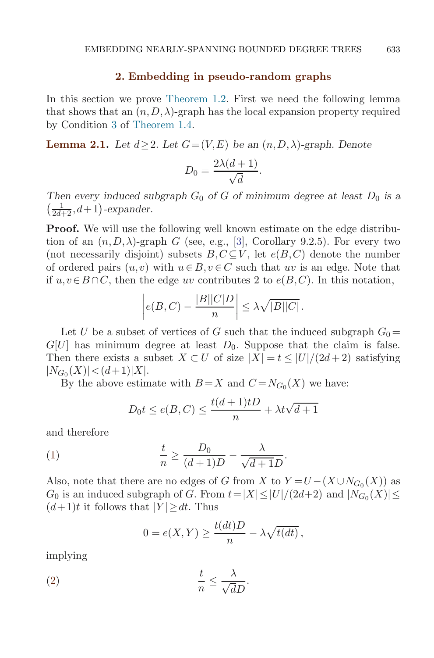## **2. Embedding in pseudo-random graphs**

In this section we prove Theorem 1.2. First we need the following lemma that shows that an  $(n,D,\lambda)$ -graph has the local expansion property required by Condition 3 of Theorem 1.4.

**Lemma 2.1.** *Let*  $d \geq 2$ *. Let*  $G = (V, E)$  *be an*  $(n, D, \lambda)$ -graph. Denote

$$
D_0 = \frac{2\lambda(d+1)}{\sqrt{d}}.
$$

*Then every induced subgraph*  $G_0$  *of*  $G$  *of minimum degree at least*  $D_0$  *is a*  $\left(\frac{1}{2d+2}, d+1\right)$ -expander.

**Proof.** We will use the following well known estimate on the edge distribution of an  $(n, D, \lambda)$ -graph G (see, e.g., [3], Corollary 9.2.5). For every two (not necessarily disjoint) subsets  $B, C \subseteq V$ , let  $e(B, C)$  denote the number of ordered pairs  $(u, v)$  with  $u \in B, v \in C$  such that uv is an edge. Note that if  $u, v \in B \cap C$ , then the edge uv contributes 2 to  $e(B, C)$ . In this notation,

$$
\left| e(B, C) - \frac{|B||C|D}{n} \right| \leq \lambda \sqrt{|B||C|}.
$$

Let U be a subset of vertices of G such that the induced subgraph  $G_0 =$  $G[U]$  has minimum degree at least  $D_0$ . Suppose that the claim is false. Then there exists a subset  $X \subset U$  of size  $|X| = t \leq |U|/(2d+2)$  satisfying  $|N_{G_0}(X)| < (d+1)|X|.$ 

By the above estimate with  $B = X$  and  $C = N_{G_0}(X)$  we have:

$$
D_0t\leq e(B,C)\leq \frac{t(d+1)tD}{n}+\lambda t\sqrt{d+1}
$$

and therefore

(1) 
$$
\frac{t}{n} \ge \frac{D_0}{(d+1)D} - \frac{\lambda}{\sqrt{d+1}D}.
$$

Also, note that there are no edges of G from X to  $Y = U - (X \cup N_{G_0}(X))$  as  $G_0$  is an induced subgraph of G. From  $t=|X|\leq |U|/(2d+2)$  and  $|N_{G_0}(X)|\leq$  $(d+1)t$  it follows that  $|Y| \geq dt$ . Thus

$$
0 = e(X, Y) \ge \frac{t(dt)D}{n} - \lambda \sqrt{t(dt)},
$$

implying

$$
\frac{t}{n} \le \frac{\lambda}{\sqrt{d}D}.
$$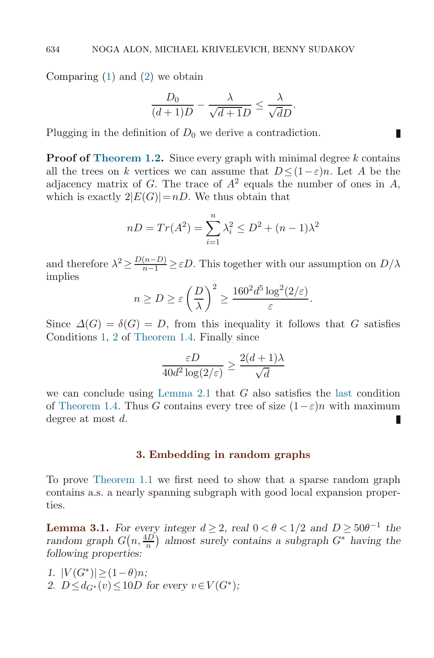Comparing  $(1)$  and  $(2)$  we obtain

$$
\frac{D_0}{(d+1)D} - \frac{\lambda}{\sqrt{d+1}D} \le \frac{\lambda}{\sqrt{d}D}.
$$

П

Plugging in the definition of  $D_0$  we derive a contradiction.

**Proof of Theorem 1.2.** Since every graph with minimal degree k contains all the trees on k vertices we can assume that  $D < (1 - \varepsilon)n$ . Let A be the adjacency matrix of G. The trace of  $A^2$  equals the number of ones in A, which is exactly  $2|E(G)|=nD$ . We thus obtain that

$$
nD = Tr(A^{2}) = \sum_{i=1}^{n} \lambda_{i}^{2} \le D^{2} + (n-1)\lambda^{2}
$$

and therefore  $\lambda^2 \ge \frac{D(n-D)}{n-1} \ge \varepsilon D$ . This together with our assumption on  $D/\lambda$ implies

$$
n \ge D \ge \varepsilon \left(\frac{D}{\lambda}\right)^2 \ge \frac{160^2 d^5 \log^2(2/\varepsilon)}{\varepsilon}.
$$

Since  $\Delta(G) = \delta(G) = D$ , from this inequality it follows that G satisfies Conditions 1, 2 of Theorem 1.4. Finally since

$$
\frac{\varepsilon D}{40d^2\log(2/\varepsilon)}\geq \frac{2(d+1)\lambda}{\sqrt{d}}
$$

we can conclude using Lemma 2.1 that  $G$  also satisfies the last condition of Theorem 1.4. Thus G contains every tree of size  $(1-\varepsilon)n$  with maximum degree at most d. П

# **3. Embedding in random graphs**

To prove Theorem 1.1 we first need to show that a sparse random graph contains a.s. a nearly spanning subgraph with good local expansion properties.

**Lemma 3.1.** For every integer  $d > 2$ , real  $0 < \theta < 1/2$  and  $D > 50\theta^{-1}$  the random graph  $G(n, \frac{4D}{n})$  almost surely contains a subgraph  $G^*$  *having the following properties:*

*1.*  $|V(G^*)| \geq (1 - \theta)n$ ; 2.  $D \leq d_{G^*}(v) \leq 10D$  *for every*  $v \in V(G^*)$ ;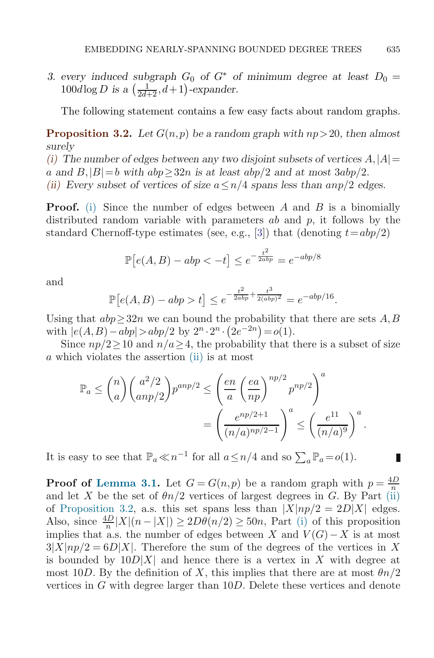*3. every induced subgraph*  $G_0$  *of*  $G^*$  *of minimum degree at least*  $D_0 =$  $100d \log D$  is a  $\left(\frac{1}{2d+2}, d+1\right)$ -expander.

The following statement contains a few easy facts about random graphs.

**Proposition 3.2.** Let  $G(n, p)$  be a random graph with  $np > 20$ , then almost *surely*

(i) The number of edges between any two disjoint subsets of vertices  $A, |A|$  = a and  $B$ ,  $|B|=b$  with  $abp \geq 32n$  *is at least*  $abp/2$  *and at most*  $3abp/2$ *. (ii) Every subset of vertices of size*  $a \leq n/4$  *spans less than*  $anp/2$  *edges.* 

**Proof.** (i) Since the number of edges between  $A$  and  $B$  is a binomially distributed random variable with parameters  $ab$  and  $p$ , it follows by the standard Chernoff-type estimates (see, e.g., [3]) that (denoting  $t=abp/2$ )

$$
\mathbb{P}\left[e(A,B) - abp < -t\right] \le e^{-\frac{t^2}{2abp}} = e^{-abp/8}
$$

and

$$
\mathbb{P}[e(A,B) - abp > t] \le e^{-\frac{t^2}{2abp} + \frac{t^3}{2(abp)^2}} = e^{-abp/16}.
$$

Using that  $abp\geq 32n$  we can bound the probability that there are sets A, B with  $|e(A, B) - abp| > abp/2$  by  $2^n \cdot 2^n \cdot (2e^{-2n}) = o(1)$ .

Since  $np/2 \geq 10$  and  $n/a \geq 4$ , the probability that there is a subset of size a which violates the assertion (ii) is at most

$$
\mathbb{P}_a \leq {n \choose a} {a^2/2 \choose anp/2} p^{anp/2} \leq \left(\frac{en}{a} \left(\frac{ea}{np}\right)^{np/2} p^{np/2}\right)^a
$$

$$
= \left(\frac{e^{np/2+1}}{(n/a)^{np/2-1}}\right)^a \leq \left(\frac{e^{11}}{(n/a)^9}\right)^a.
$$

It is easy to see that  $\mathbb{P}_a \ll n^{-1}$  for all  $a \leq n/4$  and so  $\sum_a \mathbb{P}_a = o(1)$ .

**Proof of Lemma 3.1.** Let  $G = G(n, p)$  be a random graph with  $p = \frac{4D}{n}$ and let X be the set of  $\theta n/2$  vertices of largest degrees in G. By Part (ii) of Proposition 3.2, a.s. this set spans less than  $|X|np/2=2D|X|$  edges. Also, since  $\frac{4D}{n}|X|(n-|X|) \geq 2D\theta(n/2) \geq 50n$ , Part (i) of this proposition implies that a.s. the number of edges between X and  $V(G) - X$  is at most  $3|X|np/2=6D|X|$ . Therefore the sum of the degrees of the vertices in X is bounded by  $10D|X|$  and hence there is a vertex in X with degree at most 10D. By the definition of X, this implies that there are at most  $\theta n/2$ vertices in G with degree larger than 10D. Delete these vertices and denote

 $\mathcal{L}_{\mathcal{A}}$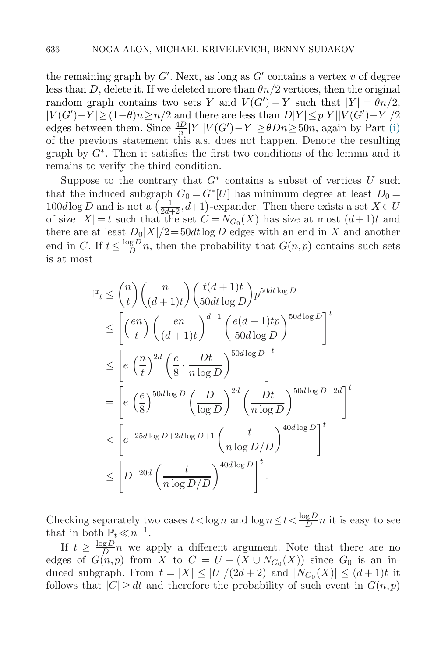the remaining graph by  $G'$ . Next, as long as  $G'$  contains a vertex v of degree less than D, delete it. If we deleted more than  $\theta n/2$  vertices, then the original random graph contains two sets Y and  $V(G') - Y$  such that  $|Y| = \theta n/2$ ,  $|V(G') - Y| \ge (1 - \theta)n \ge n/2$  and there are less than  $D|Y| \le p|Y||V(G') - Y|/2$ edges between them. Since  $\frac{4D}{n}|Y||V(G') - Y| \ge \theta Dn \ge 50n$ , again by Part (i) of the previous statement this a.s. does not happen. Denote the resulting graph by  $G^*$ . Then it satisfies the first two conditions of the lemma and it remains to verify the third condition.

Suppose to the contrary that  $G^*$  contains a subset of vertices U such that the induced subgraph  $G_0 = G^*[U]$  has minimum degree at least  $D_0 =$ 100dlog D and is not a  $\left(\frac{1}{2d+2}, d+1\right)$ -expander. Then there exists a set  $X \subset U$ <br>of size  $|X| = t$  such that the set  $C = N_C(X)$  has size at most  $(d+1)t$  and of size  $|X| = t$  such that the set  $C = N_{G_0}(X)$  has size at most  $(d+1)t$  and there are at least  $D_0|X|/2=50dt\log D$  edges with an end in X and another end in C. If  $t \leq \frac{\log D}{D}n$ , then the probability that  $G(n,p)$  contains such sets is at most

$$
\mathbb{P}_{t} \leq {n \choose t} {n \choose (d+1)t} {t(d+1)t \choose 50dt \log D} p^{50dt \log D}
$$
\n
$$
\leq \left[ \left(\frac{en}{t}\right) \left(\frac{en}{(d+1)t}\right)^{d+1} \left(\frac{e(d+1)tp}{50d \log D}\right)^{50d \log D} \right]^{t}
$$
\n
$$
\leq \left[ e \left(\frac{n}{t}\right)^{2d} \left(\frac{e}{8} \cdot \frac{Dt}{n \log D}\right)^{50d \log D} \right]^{t}
$$
\n
$$
= \left[ e \left(\frac{e}{8}\right)^{50d \log D} \left(\frac{D}{\log D}\right)^{2d} \left(\frac{Dt}{n \log D}\right)^{50d \log D - 2d} \right]^{t}
$$
\n
$$
< \left[ e^{-25d \log D + 2d \log D + 1} \left(\frac{t}{n \log D/D}\right)^{40d \log D} \right]^{t}
$$
\n
$$
\leq \left[ D^{-20d} \left(\frac{t}{n \log D/D}\right)^{40d \log D} \right]^{t}.
$$

Checking separately two cases  $t < \log n$  and  $\log n \leq t < \frac{\log D}{D}n$  it is easy to see that in both  $\mathbb{P}_t \ll n^{-1}$ .

If  $t \geq \frac{\log D}{D}n$  we apply a different argument. Note that there are no edges of  $G(n,p)$  from X to  $C = U - (X \cup N_{G_0}(X))$  since  $G_0$  is an induced subgraph. From  $t = |X| \leq |U|/(2d+2)$  and  $|N_{G_0}(X)| \leq (d+1)t$  it follows that  $|C| \geq dt$  and therefore the probability of such event in  $G(n, p)$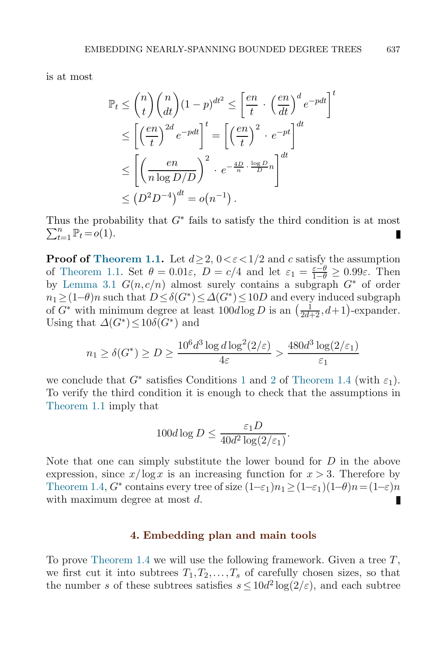is at most

$$
\mathbb{P}_{t} \leq {n \choose t} {n \choose dt} (1-p)^{dt^{2}} \leq \left[\frac{en}{t} \cdot \left(\frac{en}{dt}\right)^{d} e^{-pdt}\right]^{t}
$$

$$
\leq \left[\left(\frac{en}{t}\right)^{2d} e^{-pdt}\right]^{t} = \left[\left(\frac{en}{t}\right)^{2} \cdot e^{-pt}\right]^{dt}
$$

$$
\leq \left[\left(\frac{en}{n \log D/D}\right)^{2} \cdot e^{-\frac{4D}{n} \cdot \frac{\log D}{D}n}\right]^{dt}
$$

$$
\leq (D^{2}D^{-4})^{dt} = o(n^{-1}).
$$

Thus the probability that  $G^*$  fails to satisfy the third condition is at most  $\sum_{t=1}^n \mathbb{P}_t = o(1).$ 

**Proof of Theorem 1.1.** Let  $d \geq 2$ ,  $0 < \varepsilon < 1/2$  and c satisfy the assumption of Theorem 1.1. Set  $\theta = 0.01\varepsilon$ ,  $D = c/4$  and let  $\varepsilon_1 = \frac{\varepsilon - \theta}{1-\theta} \ge 0.99\varepsilon$ . Then<br>by Lemma 3.1  $G(n, c/n)$  almost surely contains a subgraph  $G^*$  of order by Lemma 3.1  $G(n, c/n)$  almost surely contains a subgraph  $G^*$  of order  $n_1 \geq (1-\theta)n$  such that  $D \leq \delta(G^*) \leq \Delta(G^*) \leq 10D$  and every induced subgraph  $\epsilon(G^*)$  with minimum degree at least  $100d \log D$  is an  $\left(\begin{array}{cc} 1 & d+1 \\ 1 & d+1 \end{array}\right)$  even adopted of  $G^*$  with minimum degree at least  $100d \log D$  is an  $\left(\frac{1}{2d+2}, d+1\right)$ -expander.<br>Using that  $\Delta(G^*) \leq 10\delta(G^*)$  and Using that  $\Delta(G^*) \leq 10\delta(G^*)$  and

$$
n_1 \ge \delta(G^*) \ge D \ge \frac{10^6 d^3 \log d \log^2(2/\varepsilon)}{4\varepsilon} > \frac{480d^3 \log(2/\varepsilon_1)}{\varepsilon_1}
$$

we conclude that  $G^*$  satisfies Conditions 1 and 2 of Theorem 1.4 (with  $\varepsilon_1$ ). To verify the third condition it is enough to check that the assumptions in Theorem 1.1 imply that

$$
100d \log D \le \frac{\varepsilon_1 D}{40d^2 \log(2/\varepsilon_1)}.
$$

Note that one can simply substitute the lower bound for D in the above expression, since  $x/\log x$  is an increasing function for  $x > 3$ . Therefore by Theorem 1.4,  $G^*$  contains every tree of size  $(1-\varepsilon_1)n_1 \ge (1-\varepsilon_1)(1-\theta)n = (1-\varepsilon)n$ <br>with maximum degree at most d with maximum degree at most d.

## **4. Embedding plan and main tools**

To prove Theorem 1.4 we will use the following framework. Given a tree  $T$ , we first cut it into subtrees  $T_1, T_2, \ldots, T_s$  of carefully chosen sizes, so that the number s of these subtrees satisfies  $s \leq 10d^2 \log(2/\varepsilon)$ , and each subtree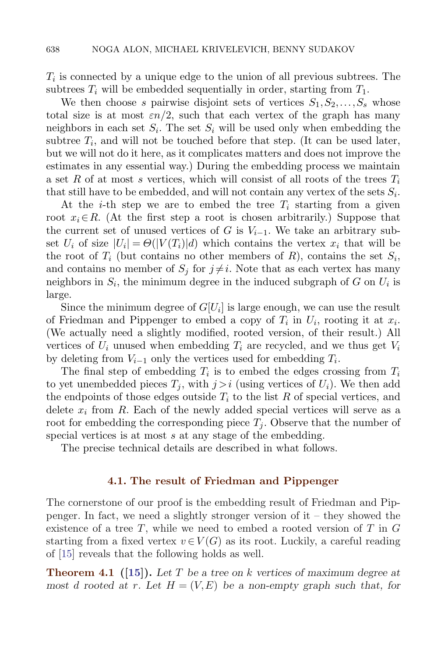$T_i$  is connected by a unique edge to the union of all previous subtrees. The subtrees  $T_i$  will be embedded sequentially in order, starting from  $T_1$ .

We then choose s pairwise disjoint sets of vertices  $S_1, S_2, \ldots, S_s$  whose total size is at most  $\epsilon n/2$ , such that each vertex of the graph has many neighbors in each set  $S_i$ . The set  $S_i$  will be used only when embedding the subtree  $T_i$ , and will not be touched before that step. (It can be used later, but we will not do it here, as it complicates matters and does not improve the estimates in any essential way.) During the embedding process we maintain a set R of at most s vertices, which will consist of all roots of the trees  $T_i$ that still have to be embedded, and will not contain any vertex of the sets  $S_i$ .

At the *i*-th step we are to embed the tree  $T_i$  starting from a given root  $x_i \in R$ . (At the first step a root is chosen arbitrarily.) Suppose that the current set of unused vertices of G is  $V_{i-1}$ . We take an arbitrary subset  $U_i$  of size  $|U_i| = \Theta(|V(T_i)|d)$  which contains the vertex  $x_i$  that will be the root of  $T_i$  (but contains no other members of R), contains the set  $S_i$ , and contains no member of  $S_i$  for  $j \neq i$ . Note that as each vertex has many neighbors in  $S_i$ , the minimum degree in the induced subgraph of G on  $U_i$  is large.

Since the minimum degree of  $G[U_i]$  is large enough, we can use the result of Friedman and Pippenger to embed a copy of  $T_i$  in  $U_i$ , rooting it at  $x_i$ . (We actually need a slightly modified, rooted version, of their result.) All vertices of  $U_i$  unused when embedding  $T_i$  are recycled, and we thus get  $V_i$ by deleting from  $V_{i-1}$  only the vertices used for embedding  $T_i$ .

The final step of embedding  $T_i$  is to embed the edges crossing from  $T_i$ to yet unembedded pieces  $T_i$ , with  $j>i$  (using vertices of  $U_i$ ). We then add the endpoints of those edges outside  $T_i$  to the list R of special vertices, and delete  $x_i$  from R. Each of the newly added special vertices will serve as a root for embedding the corresponding piece  $T_i$ . Observe that the number of special vertices is at most s at any stage of the embedding.

The precise technical details are described in what follows.

### **4.1. The result of Friedman and Pippenger**

The cornerstone of our proof is the embedding result of Friedman and Pippenger. In fact, we need a slightly stronger version of it – they showed the existence of a tree  $T$ , while we need to embed a rooted version of  $T$  in  $G$ starting from a fixed vertex  $v \in V(G)$  as its root. Luckily, a careful reading of [15] reveals that the following holds as well.

**Theorem 4.1 ([15]).** *Let* T *be a tree on* k *vertices of maximum degree at most* d rooted at r. Let  $H = (V, E)$  be a non-empty graph such that, for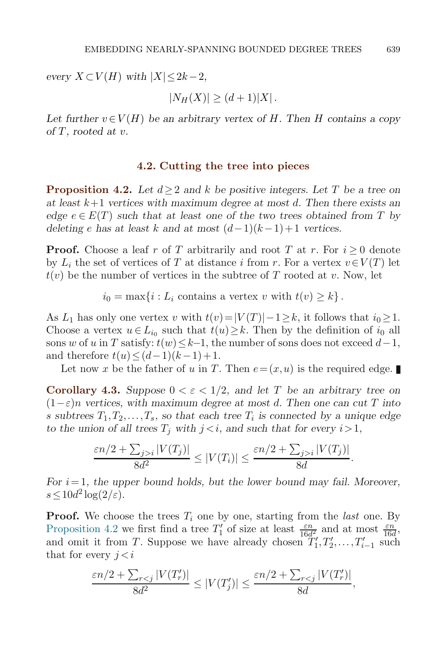*every*  $X \subset V(H)$  *with*  $|X| \leq 2k-2$ *,* 

 $|N_H(X)| > (d+1)|X|$ .

Let further  $v \in V(H)$  be an arbitrary vertex of H. Then H contains a copy *of* T*, rooted at* v*.*

## **4.2. Cutting the tree into pieces**

**Proposition 4.2.** *Let* d≥2 *and* k *be positive integers. Let* T *be a tree on at least* k+1 *vertices with maximum degree at most* d*. Then there exists an edge*  $e \in E(T)$  *such that at least one of the two trees obtained from* T *by deleting* e has at least k and at most  $(d-1)(k-1)+1$  vertices.

**Proof.** Choose a leaf r of T arbitrarily and root T at r. For  $i > 0$  denote by  $L_i$  the set of vertices of T at distance i from r. For a vertex  $v \in V(T)$  let  $t(v)$  be the number of vertices in the subtree of T rooted at v. Now, let

 $i_0 = \max\{i : L_i \text{ contains a vertex } v \text{ with } t(v) \geq k\}.$ 

As  $L_1$  has only one vertex v with  $t(v)=|V(T)|-1\geq k$ , it follows that  $i_0\geq 1$ . Choose a vertex  $u \in L_{i_0}$  such that  $t(u) \geq k$ . Then by the definition of  $i_0$  all sons w of u in T satisfy:  $t(w) \leq k-1$ , the number of sons does not exceed  $d-1$ , and therefore  $t(u) \leq (d-1)(k-1)+1$ .

Let now x be the father of u in T. Then  $e = (x, u)$  is the required edge.

**Corollary 4.3.** Suppose  $0 < \varepsilon < 1/2$ , and let T be an arbitrary tree on (1−ε)n *vertices, with maximum degree at most* d*. Then one can cut* T *into* s subtrees  $T_1, T_2, \ldots, T_s$ , so that each tree  $T_i$  is connected by a unique edge *to the union of all trees*  $T_i$  *with*  $j \lt i$ *, and such that for every*  $i > 1$ *,* 

$$
\frac{\varepsilon n/2 + \sum_{j>i} |V(T_j)|}{8d^2} \le |V(T_i)| \le \frac{\varepsilon n/2 + \sum_{j>i} |V(T_j)|}{8d}.
$$

*For* i= 1*, the upper bound holds, but the lower bound may fail. Moreover,*  $s \leq 10d^2 \log(2/\varepsilon)$ .

**Proof.** We choose the trees  $T_i$  one by one, starting from the *last* one. By Proposition 4.2 we first find a tree  $T_1'$  of size at least  $\frac{\varepsilon n}{16d^2}$  and at most  $\frac{\varepsilon n}{16d}$ ,<br>and omit it from T. Suppose we have already chosen  $T_1'$   $T_2'$   $T_1'$  , such and omit it from T. Suppose we have already chosen  $T_1', T_2', \ldots, T_{i-1}'$  such that for every  $i \leq i$ that for every  $j < i$ 

$$
\frac{\varepsilon n/2 + \sum_{r < j} |V(T'_r)|}{8d^2} \le |V(T'_j)| \le \frac{\varepsilon n/2 + \sum_{r < j} |V(T'_r)|}{8d},
$$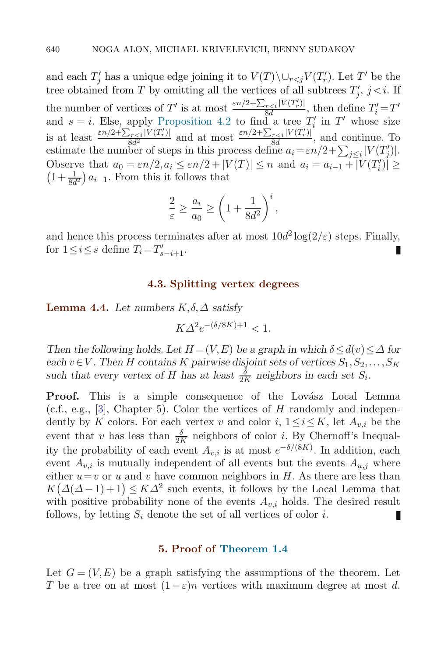and each  $T_i'$  has a unique edge joining it to  $V(T) \setminus \cup_{r < j} V(T_r')$ . Let T' be the tree obtained from T by omitting all the vertices of all subtrees  $T'_i$ ,  $j \lt i$ . If the number of vertices of T' is at most  $\frac{\varepsilon n/2 + \sum_{r \leq i} |V(T_r)|}{8d}$ , then define  $T_i' = T'$ <br>and  $s = i$ . Else, apply Proposition 4.2 to find a tree T' in T' whose size and  $s = i$ . Else, apply Proposition 4.2 to find a tree  $T_i'$  in T' whose size is at least  $\frac{\varepsilon n/2 + \sum_{r \leq i} |V(T_r)|}{8d^2}$  and at most  $\frac{\varepsilon n/2 + \sum_{r \leq i} |V(T_r)|}{8d}$ , and continue. To estimate the number of steps in this process define  $a_i = \varepsilon n/2 + \sum_{j \leq i} |V(T_j)|$ . Observe that  $a_0 = \varepsilon n/2, a_i \leq \varepsilon n/2 + |V(T)| \leq n$  and  $a_i = a_{i-1} + |V(T'_i)| \geq$  $\left(1+\frac{1}{8d^2}\right)a_{i-1}$ . From this it follows that

$$
\frac{2}{\varepsilon} \ge \frac{a_i}{a_0} \ge \left(1 + \frac{1}{8d^2}\right)^i,
$$

and hence this process terminates after at most  $10d^2 \log(2/\varepsilon)$  steps. Finally, for  $1 \le i \le s$  define  $T_i = T'_{s-i+1}$ .

# **4.3. Splitting vertex degrees**

**Lemma 4.4.** Let numbers  $K, \delta, \Delta$  satisfy

$$
K\Delta^2 e^{-(\delta/8K)+1} < 1.
$$

*Then the following holds. Let*  $H = (V, E)$  *be a graph in which*  $\delta \leq d(v) \leq \Delta$  for  $\text{each } v \in V$ . Then H contains K pairwise disjoint sets of vertices  $S_1, S_2, \ldots, S_K$ such that every vertex of H has at least  $\frac{\delta}{2K}$  neighbors in each set  $S_i$ .

**Proof.** This is a simple consequence of the Lovász Local Lemma  $(c.f., e.g., [3], Chapter 5)$ . Color the vertices of H randomly and independently by K colors. For each vertex v and color  $i, 1 \le i \le K$ , let  $A_{v,i}$  be the event that v has less than  $\frac{\delta}{2K}$  neighbors of color i. By Chernoff's Inequality the probability of each event  $A_{v,i}$  is at most  $e^{-\delta/(8K)}$ . In addition, each event  $A_{n,i}$  is mutually independent of all events but the events  $A_{n,i}$  where either  $u=v$  or u and v have common neighbors in H. As there are less than  $K(\Delta(\Delta-1)+1) \leq K\Delta^2$  such events, it follows by the Local Lemma that with positive probability none of the events  $A_{v,i}$  holds. The desired result follows, by letting  $S_i$  denote the set of all vertices of color i. П

# **5. Proof of Theorem 1.4**

Let  $G = (V, E)$  be a graph satisfying the assumptions of the theorem. Let T be a tree on at most  $(1-\varepsilon)n$  vertices with maximum degree at most d.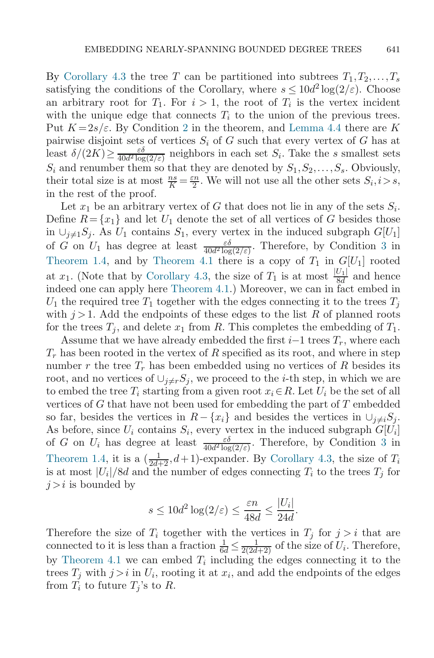By Corollary 4.3 the tree T can be partitioned into subtrees  $T_1, T_2, \ldots, T_s$ satisfying the conditions of the Corollary, where  $s \leq 10d^2 \log(2/\varepsilon)$ . Choose an arbitrary root for  $T_1$ . For  $i > 1$ , the root of  $T_i$  is the vertex incident with the unique edge that connects  $T_i$  to the union of the previous trees. Put  $K=2s/\varepsilon$ . By Condition 2 in the theorem, and Lemma 4.4 there are K pairwise disjoint sets of vertices  $S_i$  of G such that every vertex of G has at least  $\delta/(2K) \ge \frac{\varepsilon \delta}{40d^2 \log(2/\varepsilon)}$  neighbors in each set  $S_i$ . Take the s smallest sets  $S_i$  and renumber them so that they are denoted by  $S_1, S_2, \ldots, S_s$ . Obviously, their total size is at most  $\frac{ns}{K} = \frac{\varepsilon n}{2}$ . We will not use all the other sets  $S_i, i > s$ , in the rest of the proof.

Let  $x_1$  be an arbitrary vertex of G that does not lie in any of the sets  $S_i$ . Define  $R = \{x_1\}$  and let  $U_1$  denote the set of all vertices of G besides those in ∪<sub>j≠1</sub>S<sub>j</sub>. As  $U_1$  contains  $S_1$ , every vertex in the induced subgraph  $G[U_1]$ of G on  $U_1$  has degree at least  $\frac{\varepsilon \delta}{40d^2 \log(2/\varepsilon)}$ . Therefore, by Condition 3 in Theorem 1.4, and by Theorem 4.1 there is a copy of  $T_1$  in  $G[U_1]$  rooted at  $x_1$ . (Note that by Corollary 4.3, the size of  $T_1$  is at most  $\frac{|U_1|}{8d}$  and hence indeed one can apply here Theorem 4.1.) Moreover, we can in fact embed in  $U_1$  the required tree  $T_1$  together with the edges connecting it to the trees  $T_j$ <br>with  $i > 1$ , Add the ordinaints of these edges to the list B of planned restriction with  $j > 1$ . Add the endpoints of these edges to the list R of planned roots for the trees  $T_i$ , and delete  $x_1$  from R. This completes the embedding of  $T_1$ .

Assume that we have already embedded the first  $i-1$  trees  $T_r$ , where each  $T_r$  has been rooted in the vertex of R specified as its root, and where in step number r the tree  $T_r$  has been embedded using no vertices of R besides its root, and no vertices of  $\cup_{i\neq r}S_i$ , we proceed to the *i*-th step, in which we are to embed the tree  $T_i$  starting from a given root  $x_i \in R$ . Let  $U_i$  be the set of all vertices of  $G$  that have not been used for embedding the part of  $T$  embedded so far, besides the vertices in  $R-\{x_i\}$  and besides the vertices in  $\cup_{j\neq i}S_j$ . As before, since  $U_i$  contains  $S_i$ , every vertex in the induced subgraph  $G[U_i]$ of G on  $U_i$  has degree at least  $\frac{\varepsilon \delta}{40d^2 \log(2/\varepsilon)}$ . Therefore, by Condition 3 in Theorem 1.4, it is a  $\left(\frac{1}{2d+2}, d+1\right)$ -expander. By Corollary 4.3, the size of  $T_i$  is at most  $|U_i|/8d$  and the number of edges connecting  $T_i$  to the trees  $T_i$  for is at most  $|U_i|/8d$  and the number of edges connecting  $T_i$  to the trees  $T_j$  for  $j>i$  is bounded by

$$
s \le 10d^2 \log(2/\varepsilon) \le \frac{\varepsilon n}{48d} \le \frac{|U_i|}{24d}
$$

.

Therefore the size of  $T_i$  together with the vertices in  $T_j$  for  $j>i$  that are connected to it is less than a fraction  $\frac{1}{6d} \leq \frac{1}{2(2d+2)}$  of the size of  $U_i$ . Therefore,<br>by Theorem 4.1 we can embed T, including the edges connecting it to the by Theorem 4.1 we can embed  $T_i$  including the edges connecting it to the trees  $T_j$  with  $j>i$  in  $U_i$ , rooting it at  $x_i$ , and add the endpoints of the edges from  $T_i$  to future  $T_j$ 's to R.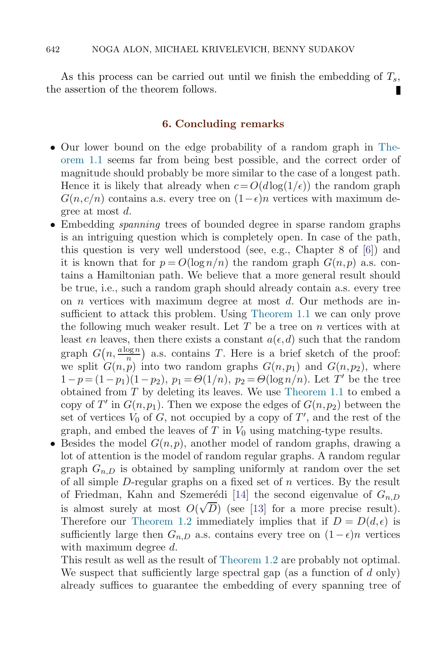As this process can be carried out until we finish the embedding of  $T_s$ , the assertion of the theorem follows.

# **6. Concluding remarks**

- Our lower bound on the edge probability of a random graph in Theorem 1.1 seems far from being best possible, and the correct order of magnitude should probably be more similar to the case of a longest path. Hence it is likely that already when  $c = O(d \log(1/\epsilon))$  the random graph  $G(n, c/n)$  contains a.s. every tree on  $(1-\epsilon)n$  vertices with maximum degree at most d.
- Embedding *spanning* trees of bounded degree in sparse random graphs is an intriguing question which is completely open. In case of the path, this question is very well understood (see, e.g., Chapter 8 of [6]) and it is known that for  $p = O(\log n/n)$  the random graph  $G(n, p)$  a.s. contains a Hamiltonian path. We believe that a more general result should be true, i.e., such a random graph should already contain a.s. every tree on n vertices with maximum degree at most d. Our methods are insufficient to attack this problem. Using Theorem 1.1 we can only prove the following much weaker result. Let  $T$  be a tree on  $n$  vertices with at least  $\epsilon n$  leaves, then there exists a constant  $a(\epsilon, d)$  such that the random graph  $G(n, \frac{a \log n}{n})$  a.s. contains T. Here is a brief sketch of the proof: we split  $G(n, p)$  into two random graphs  $G(n, p_1)$  and  $G(n, p_2)$ , where  $1-p=(1-p_1)(1-p_2), p_1 = \Theta(1/n), p_2 = \Theta(\log n/n)$ . Let T' be the tree obtained from T by deleting its leaves. We use Theorem 1.1 to embed a copy of T' in  $G(n, p_1)$ . Then we expose the edges of  $G(n, p_2)$  between the set of vertices  $V_0$  of G, not occupied by a copy of T', and the rest of the graph, and embed the leaves of  $T$  in  $V_0$  using matching-type results.
- Besides the model  $G(n, p)$ , another model of random graphs, drawing a lot of attention is the model of random regular graphs. A random regular graph  $G_{n,D}$  is obtained by sampling uniformly at random over the set of all simple  $D$ -regular graphs on a fixed set of  $n$  vertices. By the result of Friedman, Kahn and Szemerédi [14] the second eigenvalue of  $G_{n,D}$ is almost surely at most  $O(\sqrt{D})$  (see [13] for a more precise result). Therefore our Theorem 1.2 immediately implies that if  $D = D(d, \epsilon)$  is sufficiently large then  $G_{n,D}$  a.s. contains every tree on  $(1-\epsilon)n$  vertices with maximum degree d.

This result as well as the result of Theorem 1.2 are probably not optimal. We suspect that sufficiently large spectral gap (as a function of d only) already suffices to guarantee the embedding of every spanning tree of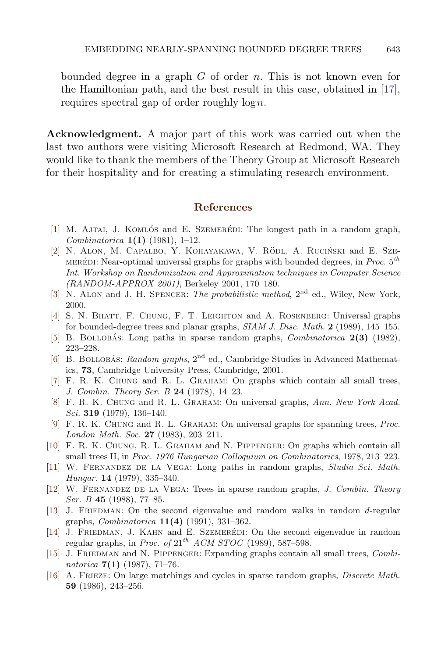bounded degree in a graph  $G$  of order  $n$ . This is not known even for the Hamiltonian path, and the best result in this case, obtained in [17], requires spectral gap of order roughly  $\log n$ .

**Acknowledgment.** A major part of this work was carried out when the last two authors were visiting Microsoft Research at Redmond, WA. They would like to thank the members of the Theory Group at Microsoft Research for their hospitality and for creating a stimulating research environment.

# **References**

- [1] M. AJTAI, J. KOMLÓS and E. SZEMERÉDI: The longest path in a random graph, Combinatorica **1(1)** (1981), 1–12.
- [2] N. ALON, M. CAPALBO, Y. KOHAYAKAWA, V. RÖDL, A. RUCIŃSKI and E. SZE-MERÉDI: Near-optimal universal graphs for graphs with bounded degrees, in *Proc.*  $5^{th}$ Int. Workshop on Randomization and Approximation techniques in Computer Science (RANDOM-APPROX 2001), Berkeley 2001, 170–180.
- [3] N. ALON and J. H. SPENCER: The probabilistic method,  $2<sup>nd</sup>$  ed., Wiley, New York, 2000.
- [4] S. N. Bhatt, F. Chung, F. T. Leighton and A. Rosenberg: Universal graphs for bounded-degree trees and planar graphs, SIAM J. Disc. Math. **2** (1989), 145–155.
- [5] B. BOLLOBAS: Long paths in sparse random graphs, *Combinatorica* **2(3)** (1982), 223–228.
- [6] B. BOLLOBÁS: Random graphs,  $2<sup>nd</sup>$  ed., Cambridge Studies in Advanced Mathematics, **73**, Cambridge University Press, Cambridge, 2001.
- [7] F. R. K. Chung and R. L. Graham: On graphs which contain all small trees, J. Combin. Theory Ser. B **24** (1978), 14–23.
- [8] F. R. K. Chung and R. L. Graham: On universal graphs, Ann. New York Acad. Sci. **319** (1979), 136–140.
- [9] F. R. K. Chung and R. L. Graham: On universal graphs for spanning trees, Proc. London Math. Soc. **27** (1983), 203–211.
- [10] F. R. K. Chung, R. L. Graham and N. Pippenger: On graphs which contain all small trees II, in Proc. 1976 Hungarian Colloquium on Combinatorics, 1978, 213–223.
- [11] W. Fernandez de la Vega: Long paths in random graphs, Studia Sci. Math. Hungar. **14** (1979), 335–340.
- [12] W. Fernandez de la Vega: Trees in sparse random graphs, J. Combin. Theory Ser. B **45** (1988), 77–85.
- [13] J. FRIEDMAN: On the second eigenvalue and random walks in random d-regular graphs, Combinatorica **11(4)** (1991), 331–362.
- [14] J. FRIEDMAN, J. KAHN and E. SZEMERÉDI: On the second eigenvalue in random regular graphs, in Proc. of  $21^{th}$  ACM STOC (1989), 587–598.
- [15] J. FRIEDMAN and N. PIPPENGER: Expanding graphs contain all small trees, Combinatorica **7(1)** (1987), 71–76.
- [16] A. Frieze: On large matchings and cycles in sparse random graphs, Discrete Math. **59** (1986), 243–256.